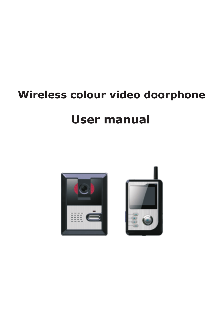# **Wireless colour video doorphone**

# **User manual**



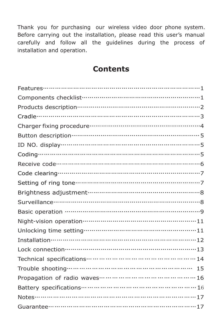Thank you for purchasing our wireless video door phone system. Before carrying out the installation, please read this user's manual carefully and follow all the guidelines during the process of installation and operation.

#### **Contents**

| Features……………………………………………………………………1       |
|-------------------------------------------|
| Components checklist……………………………………………………1 |
|                                           |
|                                           |
|                                           |
|                                           |
|                                           |
|                                           |
|                                           |
|                                           |
|                                           |
|                                           |
|                                           |
|                                           |
|                                           |
|                                           |
| Installation………………………………………………………………12    |
| Lock connection………………………………………………………13    |
|                                           |
|                                           |
|                                           |
|                                           |
| Notes………………………………………………………………17           |
|                                           |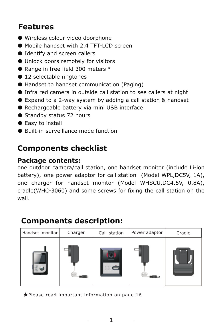## **Features**

- Wireless colour video doorphone
- Mobile handset with 2.4 TFT-LCD screen
- Identify and screen callers
- Unlock doors remotely for visitors
- Range in free field 300 meters \*
- 12 selectable ringtones
- Handset to handset communication (Paging)
- Infra red camera in outside call station to see callers at night
- Expand to a 2-way system by adding a call station & handset
- Rechargeable battery via mini USB interface
- Standby status 72 hours
- Easy to install
- Built-in surveillance mode function

## **Components checklist**

#### **Package contents:**

one outdoor camera/call station, one handset monitor (include Li-ion battery), one power adaptor for call station (Model WPL,DC5V, 1A), one charger for handset monitor (Model WHSCU,DC4.5V, 0.8A), cradle(WHC-3060) and some screws for fixing the call station on the wall.

## **Components description:**

| Handset monitor | Charger | Call station | Power adaptor | Cradle |  |
|-----------------|---------|--------------|---------------|--------|--|
|                 |         | ---          |               |        |  |

★Please read important information on page 16

- 1 -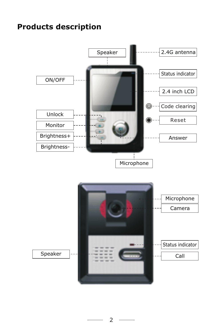## **Products description**

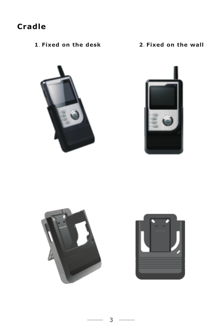## **Cradle**

.**Fixed on the desk 2**.**Fixed on the wall**







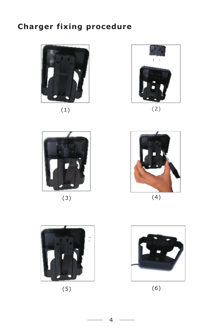## **Charger fixing procedure**



(1)



 $(2)$ 



(3)



(4)



(5)



(6)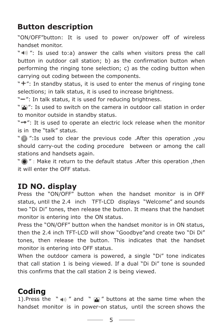## **Button description**

"ON/OFF"button: It is used to power on/power off of wireless handset monitor.

" $\parallel$ ": Is used to:a) answer the calls when visitors press the call button in outdoor call station; b) as the confirmation button when performing the ringing tone selection; c) as the coding button when carrying out coding between the components.

" $+$ ": In standby status, it is used to enter the menus of ringing tone selections; in talk status, it is used to increase brightness.

"-": In talk status, it is used for reducing brightness.

"": Is used to switch on the camera in outdoor call station in order to monitor outside in standby status.

"-.": It is used to operate an electric lock release when the monitor is in the "talk" status.

"<sup>o</sup> ":Is used to clear the previous code .After this operation ,you should carry-out the coding procedure between or among the call stations and handsets again.

 $"$   $\odot"$  : Make it return to the default status . After this operation , then it will enter the OFF status.

## **ID NO. display**

Press the "ON/OFF" button when the handset monitor is in OFF status, until the 2.4 inch TFT-LCD displays "Welcome" and sounds two "Di Di" tones, then release the button. It means that the handset monitor is entering into the ON status.

Press the "ON/OFF" button when the handset monitor is in ON status, then the 2.4 inch TFT-LCD will show "Goodbye"and create two "Di Di" tones, then release the button. This indicates that the handset monitor is entering into OFF status.

When the outdoor camera is powered, a single "Di" tone indicates that call station 1 is being viewed. If a dual "Di Di" tone is sounded this confirms that the call station 2 is being viewed.

## **Coding**

1).Press the "  $\bullet$  "  $\bullet$ " and "  $\bullet$ " buttons at the same time when the handset monitor is in power-on status, until the screen shows the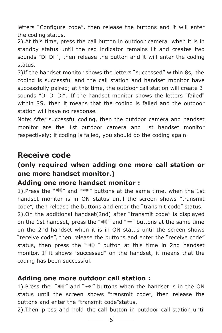letters "Configure code", then release the buttons and it will enter the coding status.

2).At this time, press the call button in outdoor camera when it is in standby status until the red indicator remains lit and creates two sounds "Di Di ", then release the button and it will enter the coding status.

3)If the handset monitor shows the letters "successed" within 8s, the coding is successful and the call station and handset monitor have successfully paired; at this time, the outdoor call station will create 3 sounds "Di Di Di". If the handset monitor shows the letters "failed" within 8S, then it means that the coding is failed and the outdoor station will have no response.

Note: After successful coding, then the outdoor camera and handset monitor are the 1st outdoor camera and 1st handset monitor respectively; if coding is failed, you should do the coding again.

### **Receive code**

#### **(only required when adding one more call station or one more handset monitor.)**

#### **Adding one more handset monitor :**

handset monitor is in ON status until the screen shows "transmit status, then press the "  $\ket{w}$  " button at this time in 2nd handset 1). Press the " $\left| \psi \right|$ " and " $\left| \psi \right|$ " buttons at the same time, when the 1st code", then release the buttons and enter the "transmit code" status. 2).On the additional handset(2nd) after "transmit code" is displayed on the 1st handset, press the " $\blacksquare$ " and " $\blacksquare$ " buttons at the same time on the 2nd handset when it is in ON status until the screen shows "receive code", then release the buttons and enter the "receive code" monitor. If it shows "successed" on the handset, it means that the coding has been successful.

#### **Adding one more outdoor call station :**

1). Press the " $\ket{w}$ " and " $\rightarrow$ " buttons when the handset is in the ON status until the screen shows "transmit code", then release the buttons and enter the "transmit code"status.

2).Then press and hold the call button in outdoor call station until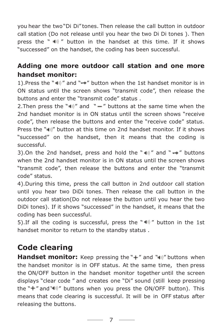you hear the two"Di Di" tones. Then release the call button in outdoor call station (Do not release until you hear the two Di Di tones ). Then press the "  $\blacksquare$ ) " button in the handset at this time. If it shows "successed" on the handset, the coding has been successful.

#### **Adding one more outdoor call station and one more handset monitor:**

1). Press the " $\mathbb{I}$ " and " $\bullet$ " button when the 1st handset monitor is in ON status until the screen shows "transmit code", then release the buttons and enter the "transmit code" status .

2. Then press the " $\ket{w}$ " and " -" buttons at the same time when the 2nd handset monitor is in ON status until the screen shows "receive code", then release the buttons and enter the "receive code" status. Press the " $\psi$ " button at this time on 2nd handset monitor. If it shows "successed" on the handset, then it means that the coding is successful.

3). On the 2nd handset, press and hold the " $\ket{\psi}$ " and " $\rightarrow$ " buttons when the 2nd handset monitor is in ON status until the screen shows "transmit code", then release the buttons and enter the "transmit code" status.

4).During this time, press the call button in 2nd outdoor call station until you hear two DiDi tones. Then release the call button in the outdoor call station(Do not release the button until you hear the two DiDi tones). If it shows "successed" in the handset, it means that the coding has been successful.

5). If all the coding is successful, press the " $\ket{\psi}$ " button in the 1st handset monitor to return to the standby status .

## **Code clearing**

**Handset monitor:** Keep pressing the "+" and " $\blacksquare$ " buttons when the handset monitor is in OFF status. At the same time, then press the ON/OFF button in the handset monitor together until the screen displays "clear code " and creates one "Di" sound (still keep pressing the " $+$ " and " $\parallel$ " buttons when you press the ON/OFF button). This means that code clearing is successful. It will be in OFF status after releasing the buttons.

7 —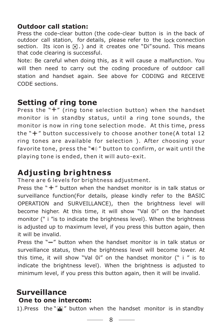#### **Outdoor call station:**

Press the code-clear button (the code-clear button is in the back of outdoor call station, for details, please refer to the lock connection section. Its icon is  $\lceil \cdot \rceil$ .) and it creates one "Di" sound. This means that code clearing is successful.

Note: Be careful when doing this, as it will cause a malfunction. You will then need to carry out the coding procedure of outdoor call station and handset again. See above for CODING and RECEIVE CODE sections.

### **Setting of ring tone**

Press the  $H''$  (ring tone selection button) when the handset monitor is in standby status, until a ring tone sounds, the monitor is now in ring tone selection mode. At this time, press the  $H'' + H''$  button successively to choose another tone(A total 12 ring tones are available for selection ). After choosing your favorite tone, press the " $\ket{\psi}$ " button to confirm, or wait until the playing tone is ended, then it will auto-exit.

## **Adjusting brightness**

There are 6 levels for brightness adjustment.

Press the  $" +"$  button when the handset monitor is in talk status or surveillance function(For details, please kindly refer to the BASIC OPERATION and SURVEILLANCE), then the brightness level will become higher. At this time, it will show "Val 0i" on the handset monitor (" i "is to indicate the brightness level). When the brightness is adjusted up to maximum level, if you press this button again, then it will be invalid.

Press the  $"$ -" button when the handset monitor is in talk status or surveillance status, then the brightness level will become lower. At this time, it will show "Val 0i" on the handset monitor (" i " is to indicate the brightness level). When the brightness is adjusted to minimum level, if you press this button again, then it will be invalid.

#### **Surveillance One to one intercom:**

1). Press the " $\blacksquare$ " button when the handset monitor is in standby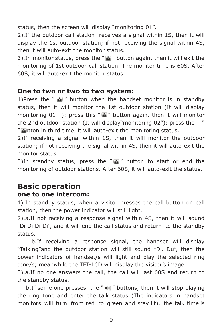status, then the screen will display "monitoring 01".

2).If the outdoor call station receives a signal within 1S, then it will display the 1st outdoor station; if not receiving the signal within 4S, then it will auto-exit the monitor status.

3). In monitor status, press the " $\blacksquare$ " button again, then it will exit the monitoring of 1st outdoor call station. The monitor time is 60S. After 60S, it will auto-exit the monitor status.

#### **One to two or two to two system:**

1)Press the " $\blacksquare$ " button when the handset monitor is in standby status, then it will monitor the 1st outdoor station (It will display monitoring 01"); press this " $\blacksquare$ " button again, then it will monitor the 2nd outdoor station (It will display"monitoring 02"); press the " " $\blacksquare$ Itton in third time, it will auto-exit the monitoring status.

2)If receiving a signal within 1S, then it will monitor the outdoor station; if not receiving the signal within 4S, then it will auto-exit the monitor status.

3)In standby status, press the " $\blacksquare$ " button to start or end the monitoring of outdoor stations. After 60S, it will auto-exit the status.

#### **Basic operation one to one intercom:**

1).In standby status, when a visitor presses the call button on call station, then the power indicator will still light.

2).a.If not receiving a response signal within 4S, then it will sound "Di Di Di Di", and it will end the call status and return to the standby status.

b.If receiving a response signal, the handset will display "Talking"and the outdoor station will still sound "Du Du", then the power indicators of handset/s will light and play the selected ring tone/s; meanwhile the TFT-LCD will display the visitor's image.

3).a.If no one answers the call, the call will last 60S and return to the standby status.

b. If some one presses the "  $\parallel$  " buttons, then it will stop playing the ring tone and enter the talk status (The indicators in handset monitors will turn from red to green and stay lit), the talk time is

9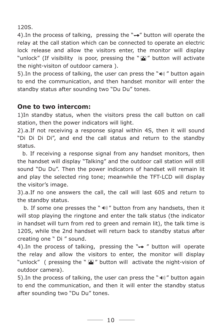120S.

4). In the process of talking, pressing the "-o" button will operate the relay at the call station which can be connected to operate an electric lock release and allow the visitors enter, the monitor will display "unlock" (If visibility is poor, pressing the " " button will activate the night-visiton of outdoor camera ).

5). In the process of talking, the user can press the " $\psi$ " button again to end the communication, and then handset monitor will enter the standby status after sounding two "Du Du" tones.

#### **One to two intercom:**

1)In standby status, when the visitors press the call button on call station, then the power indicators will light.

2).a.If not receiving a response signal within 4S, then it will sound "Di Di Di Di", and end the call status and return to the standby status.

b. If receiving a response signal from any handset monitors, then the handset will display "Talking" and the outdoor call station will still sound "Du Du". Then the power indicators of handset will remain lit and play the selected ring tone; meanwhile the TFT-LCD will display the visitor's image.

3).a.If no one answers the call, the call will last 60S and return to the standby status.

b. If some one presses the " $\ket{\psi}$ " button from any handsets, then it will stop playing the ringtone and enter the talk status (the indicator in handset will turn from red to green and remain lit), the talk time is 120S, while the 2nd handset will return back to standby status after creating one " Di " sound.

4). In the process of talking, pressing the " $\rightarrow$ " button will operate the relay and allow the visitors to enter, the monitor will display "unlock" ( pressing the " $\Delta$ " button will activate the night-vision of outdoor camera).

5). In the process of talking, the user can press the " $\ket{\psi}$ " button again to end the communication, and then it will enter the standby status after sounding two "Du Du" tones.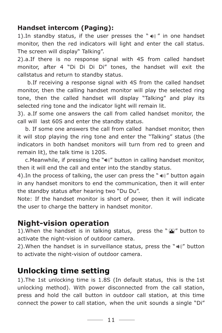#### **Handset intercom (Paging):**

1). In standby status, if the user presses the " $\ket{\psi}$ " in one handset monitor, then the red indicators will light and enter the call status. The screen will display" Talking".

2).a.If there is no response signal with 4S from called handset monitor, after 4 "Di Di Di Di" tones, the handset will exit the callstatus and return to standby status.

b.If receiving a response signal with 4S from the called handset monitor, then the calling handset monitor will play the selected ring tone, then the called handset will display "Talking" and play its selected ring tone and the indicator light will remain lit.

3). a.If some one answers the call from called handset monitor, the call will last 60S and enter the standby status.

b. If some one answers the call from called handset monitor, then it will stop playing the ring tone and enter the "Talking" status (the indicators in both handset monitors will turn from red to green and remain lit), the talk time is 120S.

c. Meanwhile, if pressing the " $\psi$ " button in calling handset monitor, then it will end the call and enter into the standby status.

4). In the process of talking, the user can press the " $\omega$ )" button again in any handset monitors to end the communication, then it will enter the standby status after hearing two "Du Du".

Note: If the handset monitor is short of power, then it will indicate the user to charge the battery in handset monitor.

#### **Night-vision operation**

1). When the handset is in talking status, press the " $\blacksquare$ " button to activate the night-vision of outdoor camera.

2). When the handset is in surveillance status, press the " $\omega$ " button to activate the night-vision of outdoor camera.

#### **Unlocking time setting**

1).The 1st unlocking time is 1.8S (In default status, this is the 1st unlocking method). With power disconnected from the call station, press and hold the call button in outdoor call station, at this time connect the power to call station, when the unit sounds a single "Di"

 $-$  11  $-$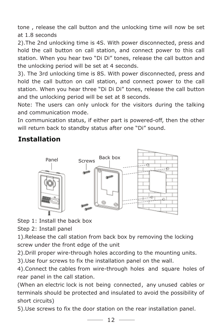tone , release the call button and the unlocking time will now be set at 1.8 seconds

2).The 2nd unlocking time is 4S. With power disconnected, press and hold the call button on call station, and connect power to this call station. When you hear two "Di Di" tones, release the call button and the unlocking period will be set at 4 seconds.

3). The 3rd unlocking time is 8S. With power disconnected, press and hold the call button on call station, and connect power to the call station. When you hear three "Di Di Di" tones, release the call button and the unlocking period will be set at 8 seconds.

Note: The users can only unlock for the visitors during the talking and communication mode.

In communication status, if either part is powered-off, then the other will return back to standby status after one "Di" sound.

#### **Installation**



Step 1: Install the back box

Step 2: Install panel

1).Release the call station from back box by removing the locking screw under the front edge of the unit

2).Drill proper wire-through holes according to the mounting units.

3).Use four screws to fix the installation panel on the wall.

4).Connect the cables from wire-through holes and square holes of rear panel in the call station.

(When an electric lock is not being connected, any unused cables or terminals should be protected and insulated to avoid the possibility of short circuits)

5).Use screws to fix the door station on the rear installation panel.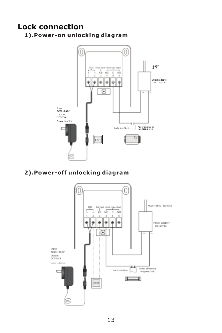#### **Lock connection**

**1).Power-on unlocking diagram**



#### **2).Power-off unlocking diagram**

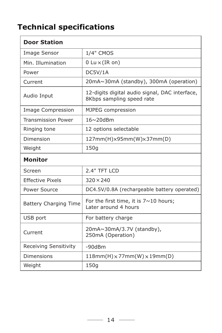## **Technical specifications**

| <b>Door Station</b>          |                                                                             |  |  |  |
|------------------------------|-----------------------------------------------------------------------------|--|--|--|
| Image Sensor                 | 1/4" CMOS                                                                   |  |  |  |
| Min. Illumination            | 0 Lu $\times$ (IR on)                                                       |  |  |  |
| Power                        | DC5V/1A                                                                     |  |  |  |
| Current                      | 20mA~30mA (standby), 300mA (operation)                                      |  |  |  |
| Audio Input                  | 12-digits digital audio signal, DAC interface,<br>8Kbps sampling speed rate |  |  |  |
| Image Compression            | MJPEG compression                                                           |  |  |  |
| <b>Transmission Power</b>    | 16~20dBm                                                                    |  |  |  |
| Ringing tone                 | 12 options selectable                                                       |  |  |  |
| Dimension                    | $127mm(H)\times 95mm(W)\times 37mm(D)$                                      |  |  |  |
| Weight                       | 150g                                                                        |  |  |  |
|                              |                                                                             |  |  |  |
| <b>Monitor</b>               |                                                                             |  |  |  |
| Screen                       | 2.4" TFT LCD                                                                |  |  |  |
| <b>Effective Pixels</b>      | $320 \times 240$                                                            |  |  |  |
| Power Source                 | DC4.5V/0.8A (rechargeable battery operated)                                 |  |  |  |
| <b>Battery Charging Time</b> | For the first time, it is $7 \sim 10$ hours;<br>Later around 4 hours        |  |  |  |
| USB port                     | For battery charge                                                          |  |  |  |
| Current                      | 20mA~30mA/3.7V (standby),<br>250mA (Operation)                              |  |  |  |
| Receiving Sensitivity        | $-90d$ Bm                                                                   |  |  |  |
| Dimensions                   | $118mm(H) \times 77mm(W) \times 19mm(D)$                                    |  |  |  |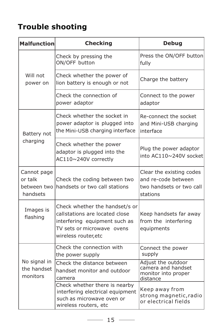## **Trouble shooting**

| <b>Malfunction</b>                                | <b>Checking</b>                                                                                                                                         | <b>Debug</b>                                                                            |  |
|---------------------------------------------------|---------------------------------------------------------------------------------------------------------------------------------------------------------|-----------------------------------------------------------------------------------------|--|
| Will not<br>power on                              | Check by pressing the<br>ON/OFF button                                                                                                                  | Press the ON/OFF button<br>fully                                                        |  |
|                                                   | Check whether the power of<br>lion battery is enough or not                                                                                             | Charge the battery                                                                      |  |
|                                                   | Check the connection of<br>power adaptor                                                                                                                | Connect to the power<br>adaptor                                                         |  |
| Battery not<br>charging                           | Check whether the socket in<br>power adaptor is plugged into<br>the Mini-USB charging interface                                                         | Re-connect the socket<br>and Mini-USB charging<br>interface                             |  |
|                                                   | Check whether the power<br>adaptor is plugged into the<br>AC110~240V correctly                                                                          | Plug the power adaptor<br>into AC110~240V socket                                        |  |
| Cannot page<br>or talk<br>between two<br>handsets | Check the coding between two<br>handsets or two call stations                                                                                           | Clear the existing codes<br>and re-code between<br>two handsets or two call<br>stations |  |
| Images is<br>flashing                             | Check whether the handset/s or<br>callstations are located close<br>interfering equipment such as<br>TV sets or microwave ovens<br>wireless router, etc | Keep handsets far away<br>from the interfering<br>equipments                            |  |
| No signal in<br>the handset<br>monitors           | Check the connection with<br>the power supply                                                                                                           | Connect the power<br>supply                                                             |  |
|                                                   | Check the distance between<br>handset monitor and outdoor<br>camera                                                                                     | Adjust the outdoor<br>camera and handset<br>monitor into proper<br>distance             |  |
|                                                   | Check whether there is nearby<br>interfering electrical equipment<br>such as microwave oven or<br>wireless routers, etc                                 | Keep away from<br>strong magnetic, radio<br>or electrical fields                        |  |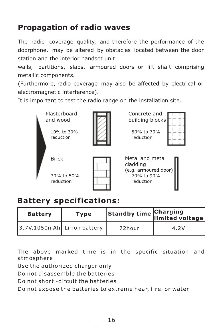## **Propagation of radio waves**

The radio coverage quality, and therefore the performance of the doorphone, may be altered by obstacles located between the door station and the interior handset unit:

walls, partitions, slabs, armoured doors or lift shaft comprising metallic components.

(Furthermore, radio coverage may also be affected by electrical or electromagnetic interference).

It is important to test the radio range on the installation site.



#### **Battery specifications:**

| <b>Battery</b>              | <b>Type</b> |        | Standby time Charging<br>limited voltage |
|-----------------------------|-------------|--------|------------------------------------------|
| 3.7V,1050mAh Li-ion battery |             | 72hour | 4.2V                                     |

The above marked time is in the specific situation and atmosphere

Use the authorized charger only

Do not disassemble the batteries

Do not short -circuit the batteries

Do not expose the batteries to extreme hear, fire or water